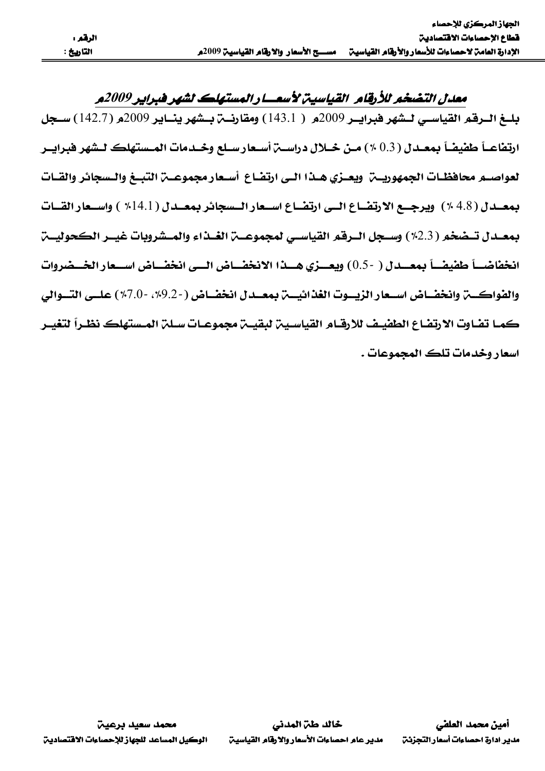معدل التضخم للأرقام القياسية لأسعار المستهلك لشهر فبراير 2009م بليغ البرقم القياسي ليشهر فبرايير 2009م ( 143.1) ومقارنية بيشهر ينساير 2009م (142.7) سيجل لعواصبه محافظيات الجمهوريين ويعتزي هيذا التي ارتضاع أستعار مجموعين التبيغ والتسجائر والقيات بمعدل (4.8 ٪) ويرجع الارتضاع اللي ارتضاع استعار التسجائر بمعدل (14.1 ٪) واستعار القنات بمعيدل تسضخو (2.3٪) وسيحل البرقو القياسي لمجموعية الغيذاء والميشروبات غسر الكحوليية انخفاضـــأ طفيفـــأ بمعـــدل ( -0.5) ويعـــزي هـــذا الانخفـــاض الـــي انخفـــاض اســـعار الخـــضروات والفواكسة وانخفساض اسبعار الزيسوت الغذائيسة بمعسدل انخفساض (-9.2%، -7.0%) علسي التسوالي كمـا تضاوت الارتضاع الطفيـف للارقـام القياسـيـن لبـقيــن مجموعــات سـلـن المـستهلك نظـراً لتـفيــر اسعار وخدمات تلڪ المجموعات .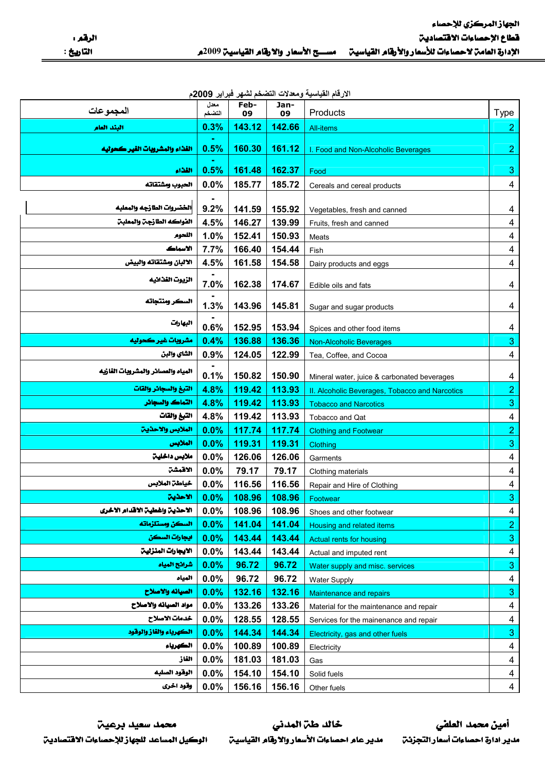| الارقام القياسية ومعدلات التضخم لشهر فبراير 2009م |  |  |  |  |  |
|---------------------------------------------------|--|--|--|--|--|
|---------------------------------------------------|--|--|--|--|--|

| المجموعات                          | معدل<br>التضخم | Feb-<br>09 | Jan-<br>09 | Products                                       | <b>Type</b>             |
|------------------------------------|----------------|------------|------------|------------------------------------------------|-------------------------|
| البئد العام                        | 0.3%           | 143.12     | 142.66     | <b>All-items</b>                               | 2 <sub>1</sub>          |
| الفذاء والمشروبات الفير كحوليه     | 0.5%           | 160.30     | 161.12     | I. Food and Non-Alcoholic Beverages            | $\overline{2}$          |
| القذاء                             | 0.5%           | 161.48     | 162.37     | Food                                           | $\mathbf{3}$            |
| الحبوب ومشتقاته                    | 0.0%           | 185.77     | 185.72     | Cereals and cereal products                    | $\overline{4}$          |
|                                    |                |            |            |                                                |                         |
| الخضروات الطازجه والمعلبه          | 9.2%           | 141.59     | 155.92     | Vegetables, fresh and canned                   | 4                       |
| الفواكه الطارجن والمعلبن           | 4.5%           | 146.27     | 139.99     | Fruits, fresh and canned                       | $\overline{4}$          |
| اللحوم                             | 1.0%           | 152.41     | 150.93     | Meats                                          | $\overline{\mathbf{4}}$ |
| الاسماك                            | 7.7%           | 166.40     | 154.44     | Fish                                           | $\overline{4}$          |
| الالبان ومشتقاته والبيض            | 4.5%           | 161.58     | 154.58     | Dairy products and eggs                        | $\overline{4}$          |
| الزيوت الفذائيه                    | 7.0%           | 162.38     | 174.67     | Edible oils and fats                           | 4                       |
| السكر ومنتجاته                     | 1.3%           | 143.96     | 145.81     | Sugar and sugar products                       | 4                       |
| البهارات                           | 0.6%           | 152.95     | 153.94     | Spices and other food items                    | 4                       |
| مشروبات غير كحوليه                 | 0.4%           | 136.88     | 136.36     | <b>Non-Alcoholic Beverages</b>                 | $\mathbf{3}$            |
| الشاي والبن                        | 0.9%           | 124.05     | 122.99     | Tea, Coffee, and Cocoa                         | $\overline{\mathbf{4}}$ |
| المياه والعصائر والمشروبات الفازيه | 0.1%           | 150.82     | 150.90     | Mineral water, juice & carbonated beverages    | 4                       |
| التبغ والسجائر والقات              | 4.8%           | 119.42     | 113.93     | II. Alcoholic Beverages, Tobacco and Narcotics | $\overline{2}$          |
| التماك والسجائر                    | 4.8%           | 119.42     | 113.93     | <b>Tobacco and Narcotics</b>                   | $\mathbf{3}$            |
| التبغ والقات                       | 4.8%           | 119.42     | 113.93     | Tobacco and Qat                                | $\overline{4}$          |
| الملابس والاحذين                   | 0.0%           | 117.74     | 117.74     | <b>Clothing and Footwear</b>                   | $\overline{2}$          |
| الملابس                            | 0.0%           | 119.31     | 119.31     | Clothing                                       | $\mathbf 3$             |
| ملابس داخلين                       | 0.0%           | 126.06     | 126.06     | Garments                                       | $\overline{4}$          |
| الاقمشت                            | 0.0%           | 79.17      | 79.17      | Clothing materials                             | $\overline{\mathbf{4}}$ |
| خياطة الملابس                      | 0.0%           | 116.56     | 116.56     | Repair and Hire of Clothing                    | $\overline{4}$          |
| الاحذين                            | 0.0%           | 108.96     | 108.96     | Footwear                                       | $\mathbf{3}$            |
| الاحذين واغطين الاقدام الاخرى      | $0.0\%$        | 108.96     | 108.96     | Shoes and other footwear                       | $\overline{4}$          |
| السكن ومستلزماته                   | 0.0%           | 141.04     | 141.04     | Housing and related items                      | $\overline{2}$          |
| ايجارات السكن                      | 0.0%           | 143.44     | 143.44     | Actual rents for housing                       | $\overline{3}$          |
| الايجارات المنزلين                 | 0.0%           | 143.44     | 143.44     | Actual and imputed rent                        | 4                       |
| شرائح المياه                       | 0.0%           | 96.72      | 96.72      | Water supply and misc. services                | $\overline{3}$          |
| المياد                             | 0.0%           | 96.72      | 96.72      | <b>Water Supply</b>                            | 4                       |
| الصيانه والاصلاح                   | 0.0%           | 132.16     | 132.16     | Maintenance and repairs                        | $\mathbf{3}$            |
| مواد الصيانه والاصلاح              | 0.0%           | 133.26     | 133.26     | Material for the maintenance and repair        | $\overline{4}$          |
| خدمات الاصلاح                      | 0.0%           | 128.55     | 128.55     | Services for the mainenance and repair         | 4                       |
| الكهرياء والفاز والوقود            | 0.0%           | 144.34     | 144.34     | Electricity, gas and other fuels               | $\mathbf{3}$            |
| الكهرباء                           | 0.0%           | 100.89     | 100.89     | Electricity                                    | 4                       |
| القاز                              | 0.0%           | 181.03     | 181.03     | Gas                                            | 4                       |
| الوقود الصلبه                      | 0.0%           | 154.10     | 154.10     | Solid fuels                                    | $\overline{4}$          |
| وقود اخرى                          | 0.0%           | 156.16     | 156.16     | Other fuels                                    | $\overline{4}$          |

محمد سعيد برعيت الوكيل المساعد للجهاز للإحصاءات الاقتصادين

خالد طن المدني مدير عام احصاءات الأسعار والارقام القياسين

أمين محمد العلفي مدير ادارة احصاءات أسعار التجزئن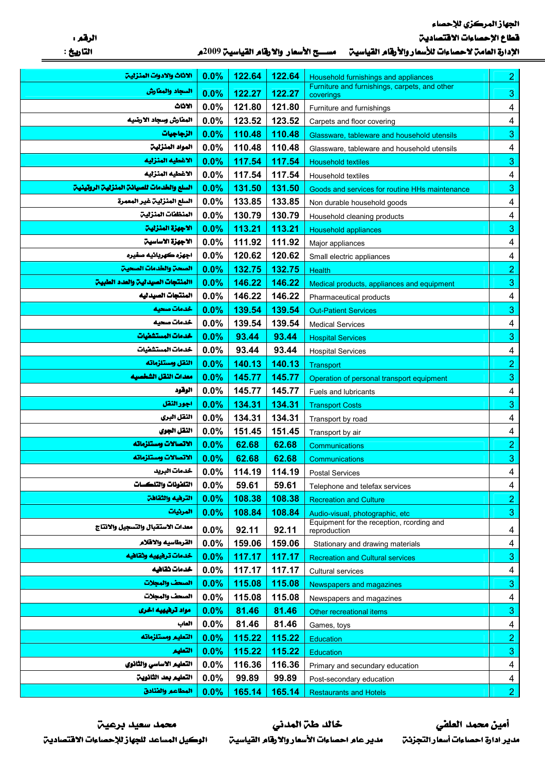الجهاز المركزي للإحصاء

قطاع الإحصاءات الاقتصادين

|  | الإدارة العامن لاحصاءات للأسعار والأرقام القياسين للمســـح الأسعار والارقام القياسين 2009. |
|--|--------------------------------------------------------------------------------------------|
|--|--------------------------------------------------------------------------------------------|

| الاثاث والادوات المنزلين                         | 0.0%    | 122.64 | 122.64 | Household furnishings and appliances                                          | $\overline{2}$          |
|--------------------------------------------------|---------|--------|--------|-------------------------------------------------------------------------------|-------------------------|
| السجاد والمطارش                                  | 0.0%    | 122.27 | 122.27 | Furniture and furnishings, carpets, and other<br>coverings                    | $\mathbf{3}$            |
| الاثاث                                           | 0.0%    | 121.80 | 121.80 | Furniture and furnishings                                                     | 4                       |
| المفارش وسجاد الارضيه                            | 0.0%    | 123.52 | 123.52 | Carpets and floor covering                                                    | $\overline{\mathbf{4}}$ |
| الزجاجيات                                        | 0.0%    | 110.48 | 110.48 | Glassware, tableware and household utensils                                   | 3                       |
| المواد المنزلين                                  | 0.0%    | 110.48 | 110.48 | Glassware, tableware and household utensils                                   | 4                       |
| الاغطيه المنزليه                                 | 0.0%    | 117.54 | 117.54 | <b>Household textiles</b>                                                     | $\mathbf{3}$            |
| الاغطيه المنزليه                                 | 0.0%    | 117.54 | 117.54 | Household textiles                                                            | $\overline{\mathbf{4}}$ |
| السلع والخدمات للصيانة المنزلية الروتينية        | 0.0%    | 131.50 | 131.50 | Goods and services for routine HHs maintenance                                | 3                       |
| السلع المنزلية غير المعمرة                       | 0.0%    | 133.85 | 133.85 | Non durable household goods                                                   | $\overline{\mathbf{4}}$ |
| المنظفات المنزلية                                | 0.0%    | 130.79 | 130.79 | Household cleaning products                                                   | $\overline{\mathbf{4}}$ |
| الاجهزة المنزلين                                 | 0.0%    | 113.21 | 113.21 | <b>Household appliances</b>                                                   | 3                       |
| الاجهزة الاساسين                                 | 0.0%    | 111.92 | 111.92 | Major appliances                                                              | 4                       |
| اجهزه كهربائيه صفيره                             | 0.0%    | 120.62 | 120.62 | Small electric appliances                                                     | 4                       |
| الصحة والخدمات الصحية                            | 0.0%    | 132.75 | 132.75 | Health                                                                        | $\overline{c}$          |
| االمنتجات الصيدلين والعدد الطبين                 | 0.0%    | 146.22 | 146.22 | Medical products, appliances and equipment                                    | $\mathbf{3}$            |
| المنتجات الصيدليه                                | 0.0%    | 146.22 | 146.22 | Pharmaceutical products                                                       | 4                       |
| خدمات صحيه                                       | 0.0%    | 139.54 | 139.54 | <b>Out-Patient Services</b>                                                   | 3                       |
| خدمات صحيه                                       | 0.0%    | 139.54 | 139.54 | <b>Medical Services</b>                                                       | $\overline{\mathbf{4}}$ |
| خدمات المستشفيات                                 | 0.0%    | 93.44  | 93.44  | <b>Hospital Services</b>                                                      | 3                       |
| خدمات المستشفيات                                 | 0.0%    | 93.44  | 93.44  | <b>Hospital Services</b>                                                      | $\overline{\mathbf{4}}$ |
| النقل ومستلزماته                                 | 0.0%    | 140.13 | 140.13 | Transport                                                                     | $\overline{2}$          |
| معدات النقل الشخصيه                              | 0.0%    | 145.77 | 145.77 | Operation of personal transport equipment                                     | $\mathbf{3}$            |
| الوقود                                           | 0.0%    | 145.77 | 145.77 | Fuels and lubricants                                                          | 4                       |
| اجورالنقل                                        | 0.0%    | 134.31 | 134.31 | <b>Transport Costs</b>                                                        | $\mathbf 3$             |
| اللقل البري                                      | 0.0%    | 134.31 | 134.31 | Transport by road                                                             | 4                       |
| النقل الجوي                                      | 0.0%    | 151.45 | 151.45 | Transport by air                                                              | $\overline{\mathbf{4}}$ |
| الاتصالات ومستلزماته                             | 0.0%    | 62.68  | 62.68  | Communications                                                                | $\overline{2}$          |
| الاتصالات ومستلزماته                             | 0.0%    | 62.68  | 62.68  | Communications                                                                | 3                       |
| خدمات البريد                                     | $0.0\%$ | 114.19 | 114.19 | <b>Postal Services</b>                                                        | $\overline{\mathbf{4}}$ |
| التلفونات والتلكسات                              | 0.0%    | 59.61  | 59.61  | Telephone and telefax services                                                | 4                       |
| الترهيه والثقاهن                                 | 0.0%    | 108.38 | 108.38 | <b>Recreation and Culture</b>                                                 | $\overline{2}$          |
| المرثيات                                         | 0.0%    | 108.84 | 108.84 | Audio-visual, photographic, etc.<br>Equipment for the reception, rcording and | $\mathbf{3}$            |
| معدات الاستقبال والتسجيل والانتاج                | 0.0%    | 92.11  | 92.11  | reproduction                                                                  | 4                       |
| القرطاسيه والاقلام                               | 0.0%    | 159.06 | 159.06 | Stationary and drawing materials                                              | 4                       |
| خدمات ترهيهيه وثقاهيه                            | 0.0%    | 117.17 | 117.17 | <b>Recreation and Cultural services</b>                                       | 3                       |
| خدمات ثقافيه                                     | 0.0%    | 117.17 | 117.17 | Cultural services                                                             | 4                       |
| الصحف والمجلات                                   | 0.0%    | 115.08 | 115.08 | <b>Newspapers and magazines</b>                                               | 3                       |
| الصحف والمجلات                                   | 0.0%    | 115.08 | 115.08 | Newspapers and magazines                                                      | 4                       |
| مواد ترهیهیه اخری                                | 0.0%    | 81.46  | 81.46  | Other recreational items                                                      | 3                       |
| العاب                                            | 0.0%    | 81.46  | 81.46  | Games, toys                                                                   | 4                       |
| التعليم ومستلزماته                               | 0.0%    | 115.22 | 115.22 | <b>Education</b>                                                              | $\overline{2}$          |
| التعليع                                          | 0.0%    | 115.22 | 115.22 | <b>Education</b>                                                              | $\mathbf{3}$            |
| التعليم الاساسي والثانوي<br>التعليم بعد الثانوين | 0.0%    | 116.36 | 116.36 | Primary and secundary education                                               | 4                       |
| المطاعم والفنادق                                 | 0.0%    | 99.89  | 99.89  | Post-secondary education                                                      | $\overline{4}$          |
|                                                  | 0.0%    | 165.14 | 165.14 | <b>Restaurants and Hotels</b>                                                 | 2 <sup>7</sup>          |

محمد سعيد برعيت الوكيل المساعد للجهاز للإحصاءات الافتصادين

خالد طن المدنى مدير عام احصاءات الأسعار والارقام القياسين

أمين محمد العلضي مدير ادارة احصاءات أسعار التجزئن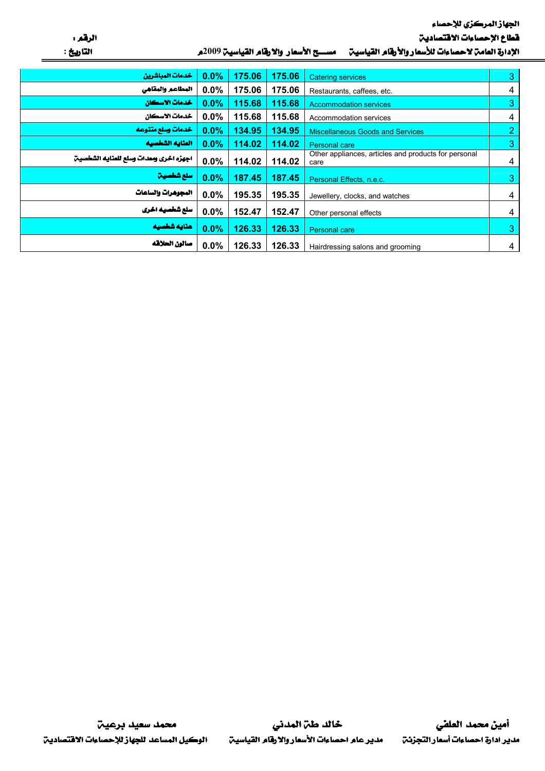الجهاز المركزي للإحصاء

قطاع الإحصاءات الاقتصادين

الرقم ، التاريخ :

| الإدارة العامن لاحصاءات للأسعار والأرقام القياسين للمسسح الأسعار والارقام القياسين 2009م |
|------------------------------------------------------------------------------------------|
|                                                                                          |

| خدمات المباشرين                        | 0.0% | 175.06 | 175.06 | <b>Catering services</b>                                     | 3              |
|----------------------------------------|------|--------|--------|--------------------------------------------------------------|----------------|
| المطاعم والمقاهي                       | 0.0% | 175.06 | 175.06 | Restaurants, caffees, etc.                                   | 4              |
| خدمات الاسكان                          | 0.0% | 115.68 | 115.68 | <b>Accommodation services</b>                                | 3              |
| خدمات الاسكان                          | 0.0% | 115.68 | 115.68 | Accommodation services                                       | 4              |
| خدمات وسلع متنوعه                      | 0.0% | 134.95 | 134.95 | <b>Miscellaneous Goods and Services</b>                      | $\overline{2}$ |
| العنايه الشخصيه                        | 0.0% | 114.02 | 114.02 | <b>Personal care</b>                                         | 3              |
| اجهزه اخرى ومعدات وسلع للعنايه الشخصين | 0.0% | 114.02 | 114.02 | Other appliances, articles and products for personal<br>care | 4              |
| سلع شخصيت                              | 0.0% | 187.45 | 187.45 | Personal Effects, n.e.c.                                     | 3              |
| المجوهرات والساعات                     | 0.0% | 195.35 | 195.35 | Jewellery, clocks, and watches                               | 4              |
| سلع شخصیه اخری                         | 0.0% | 152.47 | 152.47 | Other personal effects                                       | 4              |
| عنايه شخصيه                            | 0.0% | 126.33 | 126.33 | <b>Personal care</b>                                         | 3              |
| صالون الحلاقه                          | 0.0% | 126.33 | 126.33 | Hairdressing salons and grooming                             | 4              |